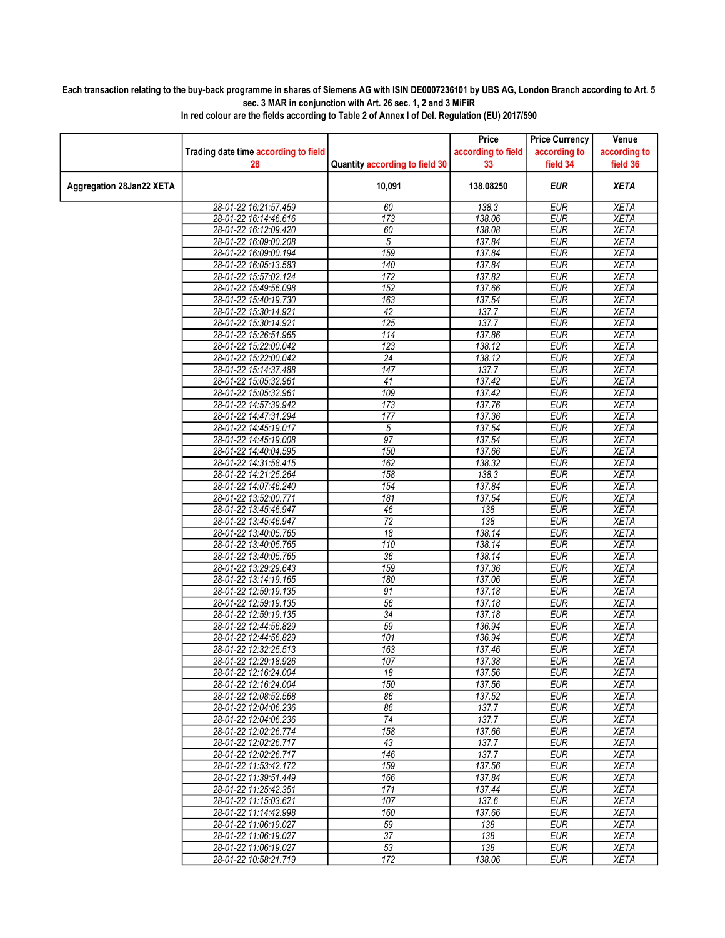## Each transaction relating to the buy-back programme in shares of Siemens AG with ISIN DE0007236101 by UBS AG, London Branch according to Art. 5 sec. 3 MAR in conjunction with Art. 26 sec. 1, 2 and 3 MiFiR

|                          |                                      |                                | Price              | <b>Price Currency</b> | Venue        |
|--------------------------|--------------------------------------|--------------------------------|--------------------|-----------------------|--------------|
|                          | Trading date time according to field |                                | according to field | according to          | according to |
|                          | 28                                   | Quantity according to field 30 | 33                 | field 34              | field 36     |
|                          |                                      |                                |                    |                       |              |
| Aggregation 28Jan22 XETA |                                      | 10,091                         | 138.08250          | <b>EUR</b>            | <b>XETA</b>  |
|                          | 28-01-22 16:21:57.459                | 60                             | 138.3              | <b>EUR</b>            | <b>XETA</b>  |
|                          | 28-01-22 16:14:46.616                | 173                            | 138.06             | <b>EUR</b>            | <b>XETA</b>  |
|                          | 28-01-22 16:12:09.420                | 60                             | 138.08             | <b>EUR</b>            | <b>XETA</b>  |
|                          | 28-01-22 16:09:00.208                | $\sqrt{5}$                     | 137.84             | <b>EUR</b>            | <b>XETA</b>  |
|                          | 28-01-22 16:09:00.194                | 159                            | 137.84             | <b>EUR</b>            | <b>XETA</b>  |
|                          | 28-01-22 16:05:13.583                | 140                            | 137.84             | <b>EUR</b>            | <b>XETA</b>  |
|                          | 28-01-22 15:57:02.124                | 172                            | 137.82             | <b>EUR</b>            | <b>XETA</b>  |
|                          | 28-01-22 15:49:56.098                | 152                            | 137.66             | <b>EUR</b>            | <b>XETA</b>  |
|                          | 28-01-22 15:40:19.730                | 163                            | 137.54             | <b>EUR</b>            | <b>XETA</b>  |
|                          | 28-01-22 15:30:14.921                | 42                             | 137.7              | <b>EUR</b>            | <b>XETA</b>  |
|                          | 28-01-22 15:30:14.921                | 125                            | 137.7              | <b>EUR</b>            | <b>XETA</b>  |
|                          | 28-01-22 15:26:51.965                | 114                            | 137.86             | <b>EUR</b>            | <b>XETA</b>  |
|                          | 28-01-22 15:22:00.042                | 123                            | 138.12             | <b>EUR</b>            | <b>XETA</b>  |
|                          | 28-01-22 15:22:00.042                | $\overline{24}$                | 138.12             | <b>EUR</b>            | <b>XETA</b>  |
|                          | 28-01-22 15:14:37.488                | 147                            | 137.7              | <b>EUR</b>            | <b>XETA</b>  |
|                          | 28-01-22 15:05:32.961                | 41                             | 137.42             | <b>EUR</b>            | <b>XETA</b>  |
|                          | 28-01-22 15:05:32.961                | 109                            | 137.42             | <b>EUR</b>            | <b>XETA</b>  |
|                          | 28-01-22 14:57:39.942                | 173                            | 137.76             | <b>EUR</b>            | <b>XETA</b>  |
|                          | 28-01-22 14:47:31.294                | 177                            | 137.36             | <b>EUR</b>            | <b>XETA</b>  |
|                          | 28-01-22 14:45:19.017                | 5                              | 137.54             | <b>EUR</b>            | <b>XETA</b>  |
|                          | 28-01-22 14:45:19.008                | $\overline{97}$                | 137.54             | <b>EUR</b>            | <b>XETA</b>  |
|                          | 28-01-22 14:40:04.595                | 150                            | 137.66             | <b>EUR</b>            | <b>XETA</b>  |
|                          | 28-01-22 14:31:58.415                | 162                            | 138.32             | <b>EUR</b>            | <b>XETA</b>  |
|                          | 28-01-22 14:21:25.264                | 158                            | 138.3              | <b>EUR</b>            | <b>XETA</b>  |
|                          | 28-01-22 14:07:46.240                | 154                            | 137.84             | <b>EUR</b>            | <b>XETA</b>  |
|                          | 28-01-22 13:52:00.771                | 181                            | 137.54             | <b>EUR</b>            | <b>XETA</b>  |
|                          | 28-01-22 13:45:46.947                | 46                             | 138                | <b>EUR</b>            | <b>XETA</b>  |
|                          | 28-01-22 13:45:46.947                | $\overline{72}$                | 138                | <b>EUR</b>            | <b>XETA</b>  |
|                          | 28-01-22 13:40:05.765                | 18                             | 138.14             | <b>EUR</b>            | <b>XETA</b>  |
|                          | 28-01-22 13:40:05.765                | 110                            | 138.14             | <b>EUR</b>            | <b>XETA</b>  |
|                          | 28-01-22 13:40:05.765                | 36                             | 138.14             | <b>EUR</b>            | <b>XETA</b>  |
|                          | 28-01-22 13:29:29.643                | 159                            | 137.36             | <b>EUR</b>            | <b>XETA</b>  |
|                          | 28-01-22 13:14:19.165                | 180                            | 137.06             | <b>EUR</b>            | <b>XETA</b>  |
|                          | 28-01-22 12:59:19.135                | $\overline{91}$                | 137.18             | <b>EUR</b>            | <b>XETA</b>  |
|                          | 28-01-22 12:59:19.135                | 56                             | 137.18             | <b>EUR</b>            | <b>XETA</b>  |
|                          | 28-01-22 12:59:19.135                | $\overline{34}$                | 137.18             | <b>EUR</b>            | <b>XETA</b>  |
|                          | 28-01-22 12:44:56.829                | 59                             | 136.94             | <b>EUR</b>            | <b>XETA</b>  |
|                          | 28-01-22 12:44:56.829                | 101                            | 136.94             | <b>EUR</b>            | <b>XETA</b>  |
|                          | 28-01-22 12:32:25.513                | 163                            | 137.46             | <b>EUR</b>            | <b>XETA</b>  |
|                          | 28-01-22 12:29:18.926                | 107                            | 137.38             | <b>EUR</b>            | <b>XETA</b>  |
|                          | 28-01-22 12:16:24.004                | 18                             | 137.56             | <b>EUR</b>            | <b>XETA</b>  |
|                          | 28-01-22 12:16:24.004                | 150                            | 137.56             | <b>EUR</b>            | <b>XETA</b>  |
|                          | 28-01-22 12:08:52.568                | 86                             | 137.52             | <b>EUR</b>            | <b>XETA</b>  |
|                          | 28-01-22 12:04:06.236                | 86                             | 137.7              | <b>EUR</b>            | <b>XETA</b>  |
|                          | 28-01-22 12:04:06.236                | $\overline{74}$                | 137.7              | <b>EUR</b>            | <b>XETA</b>  |
|                          | 28-01-22 12:02:26.774                | 158                            | 137.66             | <b>EUR</b>            | <b>XETA</b>  |
|                          | 28-01-22 12:02:26.717                | 43                             | 137.7              | <b>EUR</b>            | <b>XETA</b>  |
|                          | 28-01-22 12:02:26.717                | 146                            | 137.7              | <b>EUR</b>            | <b>XETA</b>  |
|                          | 28-01-22 11:53:42.172                | 159                            | 137.56             | <b>EUR</b>            | XETA         |
|                          | 28-01-22 11:39:51.449                | 166                            | 137.84             | <b>EUR</b>            | <b>XETA</b>  |
|                          | 28-01-22 11:25:42.351                | 171                            | 137.44             | <b>EUR</b>            | <b>XETA</b>  |
|                          | 28-01-22 11:15:03.621                | 107                            | 137.6              | <b>EUR</b>            | <b>XETA</b>  |
|                          | 28-01-22 11:14:42.998                | 160                            | 137.66             | <b>EUR</b>            | <b>XETA</b>  |
|                          | 28-01-22 11:06:19.027                | 59                             | 138                | <b>EUR</b>            | <b>XETA</b>  |
|                          | 28-01-22 11:06:19.027                | 37                             | 138                | <b>EUR</b>            | <b>XETA</b>  |
|                          | 28-01-22 11:06:19.027                | 53                             | 138                | <b>EUR</b>            | <b>XETA</b>  |
|                          | 28-01-22 10:58:21.719                | 172                            | 138.06             | <b>EUR</b>            | <b>XETA</b>  |
|                          |                                      |                                |                    |                       |              |

In red colour are the fields according to Table 2 of Annex I of Del. Regulation (EU) 2017/590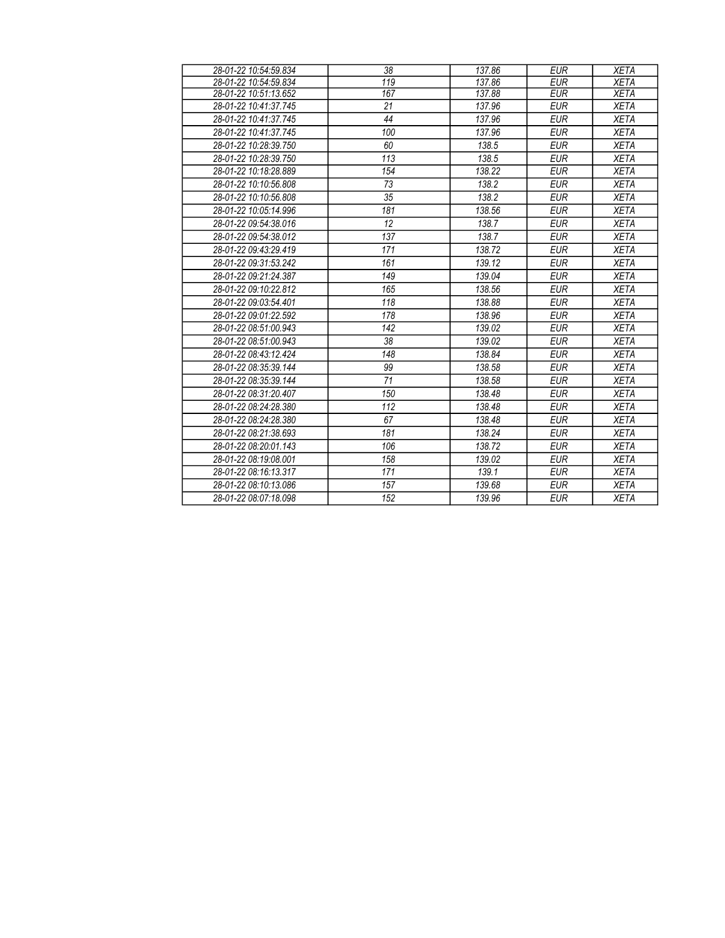| 28-01-22 10:54:59.834 | 38  | 137.86 | <b>EUR</b> | <b>XETA</b> |
|-----------------------|-----|--------|------------|-------------|
| 28-01-22 10:54:59.834 | 119 | 137.86 | <b>EUR</b> | <b>XETA</b> |
| 28-01-22 10:51:13.652 | 167 | 137.88 | <b>EUR</b> | <b>XETA</b> |
| 28-01-22 10:41:37.745 | 21  | 137.96 | <b>EUR</b> | <b>XETA</b> |
| 28-01-22 10:41:37.745 | 44  | 137.96 | <b>EUR</b> | <b>XETA</b> |
| 28-01-22 10:41:37.745 | 100 | 137.96 | <b>EUR</b> | <b>XETA</b> |
| 28-01-22 10:28:39.750 | 60  | 138.5  | <b>EUR</b> | <b>XETA</b> |
| 28-01-22 10:28:39.750 | 113 | 138.5  | <b>EUR</b> | <b>XETA</b> |
| 28-01-22 10:18:28.889 | 154 | 138.22 | <b>EUR</b> | <b>XETA</b> |
| 28-01-22 10:10:56.808 | 73  | 138.2  | <b>EUR</b> | <b>XETA</b> |
| 28-01-22 10:10:56.808 | 35  | 138.2  | <b>EUR</b> | <b>XETA</b> |
| 28-01-22 10:05:14.996 | 181 | 138.56 | <b>EUR</b> | <b>XETA</b> |
| 28-01-22 09:54:38.016 | 12  | 138.7  | <b>EUR</b> | <b>XETA</b> |
| 28-01-22 09:54:38.012 | 137 | 138.7  | <b>EUR</b> | <b>XETA</b> |
| 28-01-22 09:43:29.419 | 171 | 138.72 | <b>EUR</b> | <b>XETA</b> |
| 28-01-22 09:31:53.242 | 161 | 139.12 | <b>EUR</b> | <b>XETA</b> |
| 28-01-22 09:21:24.387 | 149 | 139.04 | <b>EUR</b> | <b>XETA</b> |
| 28-01-22 09:10:22.812 | 165 | 138.56 | <b>EUR</b> | <b>XETA</b> |
| 28-01-22 09:03:54.401 | 118 | 138.88 | <b>EUR</b> | <b>XETA</b> |
| 28-01-22 09:01:22.592 | 178 | 138.96 | <b>EUR</b> | <b>XETA</b> |
| 28-01-22 08:51:00.943 | 142 | 139.02 | <b>EUR</b> | <b>XETA</b> |
| 28-01-22 08:51:00.943 | 38  | 139.02 | <b>EUR</b> | <b>XETA</b> |
| 28-01-22 08:43:12.424 | 148 | 138.84 | <b>EUR</b> | <b>XETA</b> |
| 28-01-22 08:35:39.144 | 99  | 138.58 | <b>EUR</b> | <b>XETA</b> |
| 28-01-22 08:35:39.144 | 71  | 138.58 | <b>EUR</b> | <b>XETA</b> |
| 28-01-22 08:31:20.407 | 150 | 138.48 | <b>EUR</b> | <b>XETA</b> |
| 28-01-22 08:24:28.380 | 112 | 138.48 | <b>EUR</b> | <b>XETA</b> |
| 28-01-22 08:24:28.380 | 67  | 138.48 | <b>EUR</b> | <b>XETA</b> |
| 28-01-22 08:21:38.693 | 181 | 138.24 | <b>EUR</b> | <b>XETA</b> |
| 28-01-22 08:20:01.143 | 106 | 138.72 | <b>EUR</b> | <b>XETA</b> |
| 28-01-22 08:19:08.001 | 158 | 139.02 | <b>EUR</b> | <b>XETA</b> |
| 28-01-22 08:16:13.317 | 171 | 139.1  | <b>EUR</b> | <b>XETA</b> |
| 28-01-22 08:10:13.086 | 157 | 139.68 | <b>EUR</b> | <b>XETA</b> |
| 28-01-22 08:07:18.098 | 152 | 139.96 | <b>EUR</b> | <b>XETA</b> |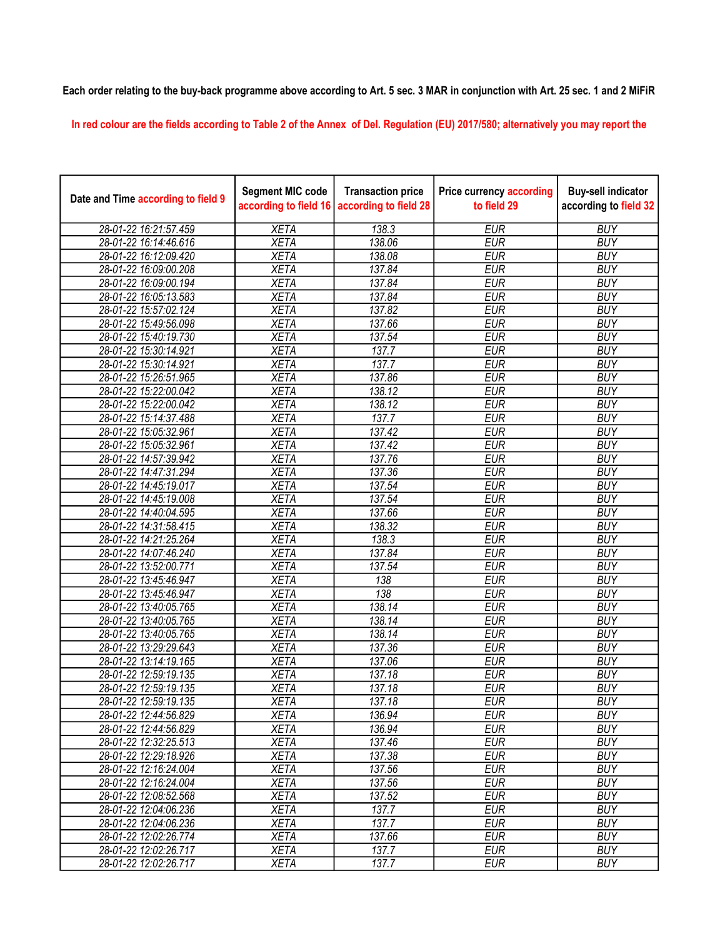## Each order relating to the buy-back programme above according to Art. 5 sec. 3 MAR in conjunction with Art. 25 sec. 1 and 2 MiFiR

In red colour are the fields according to Table 2 of the Annex of Del. Regulation (EU) 2017/580; alternatively you may report the

| Date and Time according to field 9 | <b>Segment MIC code</b><br>according to field 16 | <b>Transaction price</b><br>according to field 28 | <b>Price currency according</b><br>to field 29 | <b>Buy-sell indicator</b><br>according to field 32 |
|------------------------------------|--------------------------------------------------|---------------------------------------------------|------------------------------------------------|----------------------------------------------------|
| 28-01-22 16:21:57.459              | <b>XETA</b>                                      | 138.3                                             | <b>EUR</b>                                     | <b>BUY</b>                                         |
| 28-01-22 16:14:46.616              | <b>XETA</b>                                      | 138.06                                            | <b>EUR</b>                                     | <b>BUY</b>                                         |
| 28-01-22 16:12:09.420              | <b>XETA</b>                                      | 138.08                                            | <b>EUR</b>                                     | <b>BUY</b>                                         |
| 28-01-22 16:09:00.208              | <b>XETA</b>                                      | 137.84                                            | <b>EUR</b>                                     | <b>BUY</b>                                         |
| 28-01-22 16:09:00.194              | <b>XETA</b>                                      | 137.84                                            | <b>EUR</b>                                     | <b>BUY</b>                                         |
| 28-01-22 16:05:13.583              | <b>XETA</b>                                      | 137.84                                            | <b>EUR</b>                                     | <b>BUY</b>                                         |
| 28-01-22 15:57:02.124              | <b>XETA</b>                                      | 137.82                                            | <b>EUR</b>                                     | <b>BUY</b>                                         |
| 28-01-22 15:49:56.098              | <b>XETA</b>                                      | 137.66                                            | <b>EUR</b>                                     | <b>BUY</b>                                         |
| 28-01-22 15:40:19.730              | <b>XETA</b>                                      | 137.54                                            | <b>EUR</b>                                     | <b>BUY</b>                                         |
| 28-01-22 15:30:14.921              | <b>XETA</b>                                      | 137.7                                             | <b>EUR</b>                                     | <b>BUY</b>                                         |
| 28-01-22 15:30:14.921              | <b>XETA</b>                                      | 137.7                                             | <b>EUR</b>                                     | <b>BUY</b>                                         |
| 28-01-22 15:26:51.965              | <b>XETA</b>                                      | 137.86                                            | <b>EUR</b>                                     | <b>BUY</b>                                         |
| 28-01-22 15:22:00.042              | <b>XETA</b>                                      | 138.12                                            | <b>EUR</b>                                     | <b>BUY</b>                                         |
| 28-01-22 15:22:00.042              | <b>XETA</b>                                      | 138.12                                            | <b>EUR</b>                                     | <b>BUY</b>                                         |
| 28-01-22 15:14:37.488              | <b>XETA</b>                                      | 137.7                                             | <b>EUR</b>                                     | <b>BUY</b>                                         |
| 28-01-22 15:05:32.961              | <b>XETA</b>                                      | 137.42                                            | <b>EUR</b>                                     | <b>BUY</b>                                         |
| 28-01-22 15:05:32.961              | <b>XETA</b>                                      | 137.42                                            | <b>EUR</b>                                     | <b>BUY</b>                                         |
| 28-01-22 14:57:39.942              | <b>XETA</b>                                      | 137.76                                            | <b>EUR</b>                                     | <b>BUY</b>                                         |
| 28-01-22 14:47:31.294              | <b>XETA</b>                                      | 137.36                                            | <b>EUR</b>                                     | <b>BUY</b>                                         |
| 28-01-22 14:45:19.017              | <b>XETA</b>                                      | 137.54                                            | <b>EUR</b>                                     | <b>BUY</b>                                         |
| 28-01-22 14:45:19.008              | <b>XETA</b>                                      | 137.54                                            | <b>EUR</b>                                     | <b>BUY</b>                                         |
| 28-01-22 14:40:04.595              | <b>XETA</b>                                      | 137.66                                            | <b>EUR</b>                                     | <b>BUY</b>                                         |
| 28-01-22 14:31:58.415              | <b>XETA</b>                                      | 138.32                                            | <b>EUR</b>                                     | <b>BUY</b>                                         |
| 28-01-22 14:21:25.264              | <b>XETA</b>                                      | 138.3                                             | <b>EUR</b>                                     | <b>BUY</b>                                         |
| 28-01-22 14:07:46.240              | <b>XETA</b>                                      | 137.84                                            | <b>EUR</b>                                     | <b>BUY</b>                                         |
| 28-01-22 13:52:00.771              | <b>XETA</b>                                      | 137.54                                            | <b>EUR</b>                                     | <b>BUY</b>                                         |
| 28-01-22 13:45:46.947              | <b>XETA</b>                                      | 138                                               | <b>EUR</b>                                     | <b>BUY</b>                                         |
| 28-01-22 13:45:46.947              | <b>XETA</b>                                      | $\overline{138}$                                  | <b>EUR</b>                                     | <b>BUY</b>                                         |
| 28-01-22 13:40:05.765              | <b>XETA</b>                                      | 138.14                                            | <b>EUR</b>                                     | <b>BUY</b>                                         |
| 28-01-22 13:40:05.765              | <b>XETA</b>                                      | 138.14                                            | <b>EUR</b>                                     | <b>BUY</b>                                         |
| 28-01-22 13:40:05.765              | <b>XETA</b>                                      | 138.14                                            | <b>EUR</b>                                     | <b>BUY</b>                                         |
| 28-01-22 13:29:29.643              | <b>XETA</b>                                      | 137.36                                            | <b>EUR</b>                                     | <b>BUY</b>                                         |
| 28-01-22 13:14:19.165              | <b>XETA</b>                                      | 137.06                                            | <b>EUR</b>                                     | <b>BUY</b>                                         |
| 28-01-22 12:59:19.135              | <b>XETA</b>                                      | 137.18                                            | <b>EUR</b>                                     | <b>BUY</b>                                         |
| 28-01-22 12:59:19.135              | <b>XETA</b>                                      | 137.18                                            | <b>EUR</b>                                     | <b>BUY</b>                                         |
| 28-01-22 12:59:19.135              | <b>XETA</b>                                      | 137.18                                            | <b>EUR</b>                                     | <b>BUY</b>                                         |
| 28-01-22 12:44:56.829              | <b>XETA</b>                                      | 136.94                                            | <b>EUR</b>                                     | <b>BUY</b>                                         |
| 28-01-22 12:44:56.829              | <b>XETA</b>                                      | 136.94                                            | <b>EUR</b>                                     | <b>BUY</b>                                         |
| 28-01-22 12:32:25.513              | <b>XETA</b>                                      | 137.46                                            | <b>EUR</b>                                     | <b>BUY</b>                                         |
| 28-01-22 12:29:18.926              | <b>XETA</b>                                      | 137.38                                            | <b>EUR</b>                                     | <b>BUY</b>                                         |
| 28-01-22 12:16:24.004              | <b>XETA</b>                                      | 137.56                                            | <b>EUR</b>                                     | <b>BUY</b>                                         |
| 28-01-22 12:16:24.004              | <b>XETA</b>                                      | 137.56                                            | <b>EUR</b>                                     | <b>BUY</b>                                         |
| 28-01-22 12:08:52.568              | <b>XETA</b>                                      | 137.52                                            | <b>EUR</b>                                     | <b>BUY</b>                                         |
| 28-01-22 12:04:06.236              | <b>XETA</b>                                      | 137.7                                             | <b>EUR</b>                                     | <b>BUY</b>                                         |
| 28-01-22 12:04:06.236              | <b>XETA</b>                                      | 137.7                                             | <b>EUR</b>                                     | <b>BUY</b>                                         |
| 28-01-22 12:02:26.774              | <b>XETA</b>                                      | 137.66                                            | <b>EUR</b>                                     | <b>BUY</b>                                         |
| 28-01-22 12:02:26.717              | <b>XETA</b>                                      | 137.7                                             | <b>EUR</b>                                     | <b>BUY</b>                                         |
| 28-01-22 12:02:26.717              | <b>XETA</b>                                      | 137.7                                             | <b>EUR</b>                                     | <b>BUY</b>                                         |